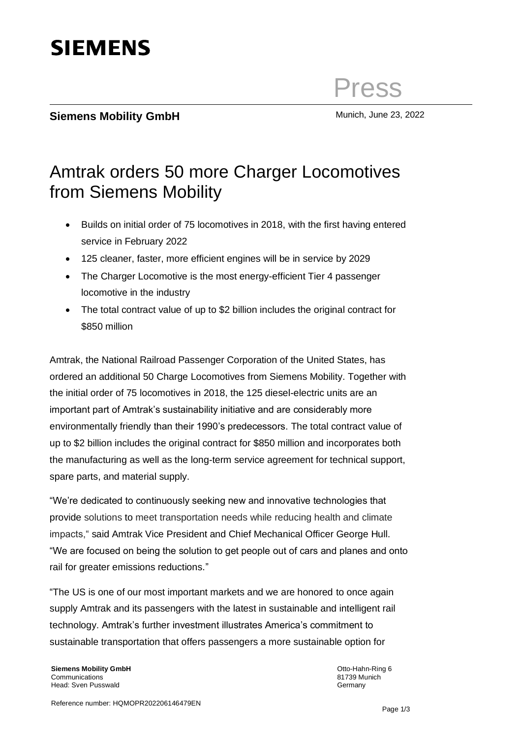# **SIEMENS**

Press

### **Siemens Mobility GmbH** Munich, June 23, 2022

## Amtrak orders 50 more Charger Locomotives from Siemens Mobility

- Builds on initial order of 75 locomotives in 2018, with the first having entered service in February 2022
- 125 cleaner, faster, more efficient engines will be in service by 2029
- The Charger Locomotive is the most energy-efficient Tier 4 passenger locomotive in the industry
- The total contract value of up to \$2 billion includes the original contract for \$850 million

Amtrak, the National Railroad Passenger Corporation of the United States, has ordered an additional 50 Charge Locomotives from Siemens Mobility. Together with the initial order of 75 locomotives in 2018, the 125 diesel-electric units are an important part of Amtrak's sustainability initiative and are considerably more environmentally friendly than their 1990's predecessors. The total contract value of up to \$2 billion includes the original contract for \$850 million and incorporates both the manufacturing as well as the long-term service agreement for technical support, spare parts, and material supply.

"We're dedicated to continuously seeking new and innovative technologies that provide solutions to meet transportation needs while reducing health and climate impacts," said Amtrak Vice President and Chief Mechanical Officer George Hull. "We are focused on being the solution to get people out of cars and planes and onto rail for greater emissions reductions."

"The US is one of our most important markets and we are honored to once again supply Amtrak and its passengers with the latest in sustainable and intelligent rail technology. Amtrak's further investment illustrates America's commitment to sustainable transportation that offers passengers a more sustainable option for

**Siemens Mobility GmbH Communications** Head: Sven Pusswald

Otto-Hahn-Ring 6 81739 Munich **Germany**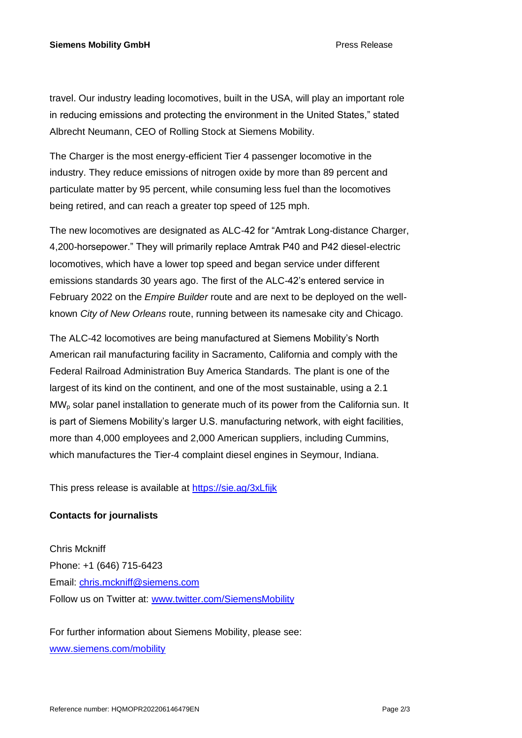travel. Our industry leading locomotives, built in the USA, will play an important role in reducing emissions and protecting the environment in the United States," stated Albrecht Neumann, CEO of Rolling Stock at Siemens Mobility.

The Charger is the most energy-efficient Tier 4 passenger locomotive in the industry. They reduce emissions of nitrogen oxide by more than 89 percent and particulate matter by 95 percent, while consuming less fuel than the locomotives being retired, and can reach a greater top speed of 125 mph.

The new locomotives are designated as ALC-42 for "Amtrak Long-distance Charger, 4,200-horsepower." They will primarily replace Amtrak P40 and P42 diesel-electric locomotives, which have a lower top speed and began service under different emissions standards 30 years ago. The first of the ALC-42's entered service in February 2022 on the *Empire Builder* route and are next to be deployed on the wellknown *City of New Orleans* route, running between its namesake city and Chicago.

The ALC-42 locomotives are being manufactured at Siemens Mobility's North American rail manufacturing facility in Sacramento, California and comply with the Federal Railroad Administration Buy America Standards. The plant is one of the largest of its kind on the continent, and one of the most sustainable, using a 2.1 MW<sup>p</sup> solar panel installation to generate much of its power from the California sun. It is part of Siemens Mobility's larger U.S. manufacturing network, with eight facilities, more than 4,000 employees and 2,000 American suppliers, including Cummins, which manufactures the Tier-4 complaint diesel engines in Seymour, Indiana.

This press release is available at<https://sie.ag/3xLfijk>

### **Contacts for journalists**

Chris Mckniff Phone: +1 (646) 715-6423 Email: [chris.mckniff@siemens.com](mailto:chris.mckniff@siemens.com) Follow us on Twitter at: [www.twitter.com/SiemensMobility](http://www.twitter.com/SiemensMobility)

For further information about Siemens Mobility, please see: [www.siemens.com/mobility](http://www.siemens.com/mobility)